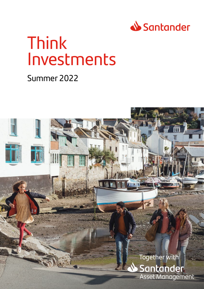

# Think Investments

## Summer 2022

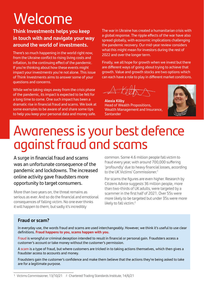# **Welcome**

### **Think Investments helps you keep in touch with and navigate your way around the world of investments.**

There's so much happening in the world right now, from the Ukraine conflict to rising living costs and inflation, to the continuing effect of the pandemic. If you're thinking about how these events might impact your investments you're not alone. This issue of Think Investments aims to answer some of your questions and concerns.

While we're taking steps away from the crisis phase of the pandemic, its impact is expected to be felt for a long time to come. One such impact has been a dramatic rise in financial fraud and scams. We look at some examples to be aware of and share some tips to help you keep your personal data and money safe.

The war in Ukraine has created a humanitarian crisis with a global response. The ripple effects of the war have also spread globally, with economic implications challenging the pandemic recovery. Our mid-year review considers what this might mean for investors during the rest of 2022 and over the longer term.

Finally, we all hope for growth when we invest but there are different ways of going about trying to achieve that growth. Value and growth stocks are two options which can each have a role to play in different market conditions.

**Alexia Kilby**  Head of Wealth Propositions, Wealth Management and Insurance, **Santander** 



## Awareness is your best defence against fraud and scams

A surge in financial fraud and scams was an unfortunate consequence of the pandemic and lockdowns. The increased online activity gave fraudsters more opportunity to target consumers.

More than two years on, the threat remains as serious as ever. And so do the financial and emotional consequences of falling victim. No one ever thinks it will happen to them, but sadly it's incredibly

common. Some 4.6 million people fall victim to fraud every year, with around 700,000 suffering 'profoundly' due to heavy financial losses, according to the UK Victims' Commissioner.1

For scams the figures are even higher. Research by Citizens Advice suggests 36 million people, more than two-thirds of UK adults, were targeted by a scammer in the first half of 2021. Over 55s were more likely to be targeted but under 35s were more likely to fall victim.<sup>2</sup>

#### **Fraud or scam?**

In everyday use, the words fraud and scams are used interchangeably. However, we think it's useful to use clear definitions. **Fraud happens to you, scams happen with you.**

Fraud is wrongful or criminal deception intended to result in financial or personal gain. Fraudsters access a customer's account or take money without the customer's permission.

A scam is a type of fraud, but where customers are tricked in to taking actions themselves, which then gives a fraudster access to accounts and money.

Fraudsters gain the customer's confidence and make them believe that the actions they're being asked to take are for a legitimate purpose.

<sup>1</sup> [Victims Commissioner, 13/10/21](https://victimscommissioner.org.uk/news/who-suffers-fraud/) 2 [Chartered Trading Standards Institute, 14/6/21](https://www.tradingstandards.uk/news-policy/news-room/2021/36-million-brits-targeted-by-a-scammer-so-far-this-year)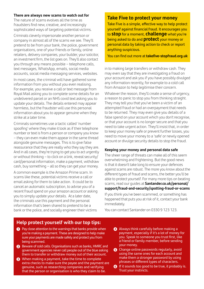#### **There are always new scams to watch out for**

The nature of scams evolves all the time as fraudsters find new, creative, and increasingly sophisticated ways of targeting potential victims.

Criminals cleverly impersonate another person or company in almost all of the scams we see. They'll pretend to be from your bank, the police, government organisations, one of your friends or family, online retailers, delivery companies, your builder, your solicitor, an investment firm, the list goes on. They'll also contact you through any means possible – telephone calls, text messages, WhatsApp, emails, social media accounts, social media messaging services, websites.

In most cases, the criminal will have gathered some information from you without you even realising. For example, you receive a call or text message from Royal Mail asking you to complete some details for an undelivered parcel or an NHS covid text asking you to update your details. The details entered may appear harmless, but the fraudster will use this personal information about you to appear genuine when they strike at a later time.

Criminals sometimes use a tactic called 'number spoofing' where they make it look as if their telephone number or text is from a person or company you know – they can even make them appear in the same thread alongside genuine messages. This is to give false reassurance that they are really who they say they are. And in all cases, they're trying to get you to act urgently or without thinking – to click on a link, reveal security/ card/personal information, make a payment, withdraw cash, buy something – all so they can get your money.

A common example is the Amazon Prime scam. In scams like these, potential victims receive a call or email asking for them to take action. It could be to cancel an automatic subscription, to advise you of a recent fraud spend on your amazon account or asking you to simply update your details. At a later date, the criminals use this payment and the personal information that's been shared to pretend to be a bank or the police, and socially engineer their victims

#### **Take Five to protect your money**

Take Five is a simple, effective way to help protect yourself against financial fraud. It encourages you to **stop** for a moment, **challenge** what you're being asked to do and **protect** your money or personal data by taking action to check or report anything suspicious.

You can find out more at **[takefive-stopfraud.org.uk](https://www.takefive-stopfraud.org.uk/advice/general-advice/)**

in to making large transfers or withdraw cash. They may even say that they are investigating a fraud on your account and ask you if you have possibly divulged any information recently, for example to a cold call from Amazon to help legitimise their concern.

Whatever the reason, they'll create a sense of urgency, a reason to panic to stop you from thinking straight. They may tell you that you've been a victim of an attempted fraud or had an overpayment that needs to be returned. They may even give you details of a false spend on your account which you don't recognise, or that your account is no longer secure and that you need to take urgent action. They'll insist that, in order to keep your money safe or prevent further losses, you need to move your money to a 'safe' or newly opened account or divulge security details to stop the fraud.

#### **Keeping your money and personal data safe**

The sheer range of threats can make all of this seem overwhelming and frightening. But the good news is that it doesn't take long to ensure your defences against scams are robust. The more you know about the different types of fraud and scams, the better you'll be able to protect yourself. For many more tips on beating scams, read our guides at **Santander.co.uk/personal/ support/fraud-and-security/spotting-fraud-or-scams**

If you think you've been scammed, or something has happened that puts you at risk of it, contact your bank immediately.

You can contact Santander on 0330 9 123 123.

#### **Help protect yourself with our top tips:**

- **1** Pay close attention to the warnings that banks provide when you're making a payment. These are designed to help make sure your payments are made safely and protect you from being scammed.
- **2** Beware of cold calls. Organisations such as banks, HMRC and government agencies never call people out of the blue asking them to transfer or withdraw money out of their account.
- **3** When making a payment, take the time to complete extra checks to make sure the payee and the payment are genuine, such as researching companies and verifying that the person or organisation is who they claim to be.
- **4** Always think carefully before making a payment, especially if it's a lot of money for you. Speak to someone you trust first, like a friend or family member, before sending your money.
- **5** Change online passwords regularly, avoid using the same ones for each account and make them a stronger password by using phrases or different types of characters.
- **6** If it sounds too good to be true, it probably is. Trust your instincts.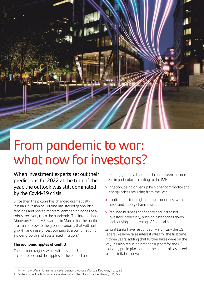From pandemic to war: what now for investors?

When investment experts set out their predictions for 2022 at the turn of the year, the outlook was still dominated by the Covid-19 crisis.

Since then the picture has changed dramatically. Russia's invasion of Ukraine has stoked geopolitical tensions and rocked markets, dampening hopes of a robust recovery from the pandemic. The International Monetary Fund (IMF) warned in March that the conflict is a 'major blow to the global economy that will hurt growth and raise prices', pointing to a combination of slower growth and accelerated inflation.<sup>3</sup>

#### **The economic ripples of conflict**

The human tragedy we're witnessing in Ukraine is clear to see and the ripples of the conflict are

spreading globally. The impact can be seen in three areas in particular, according to the IMF.

- o Inflation, being driven up by higher commodity and energy prices resulting from the war.
- o Implications for neighbouring economies, with trade and supply chains disrupted.
- **o** Reduced business confidence and increased investor uncertainty, pushing asset prices down and causing a tightening of financial conditions.

Central banks have responded. March saw the US Federal Reserve raise interest rates for the first time in three years, adding that further hikes were on the way. It's also reducing broader support for the US economy put in place during the pandemic as it seeks to keep inflation down.<sup>4</sup>

<sup>3</sup> [IMF – How War in Ukraine Is Reverberating Across World's Regions](https://blogs.imf.org/2022/03/15/how-war-in-ukraine-is-reverberating-across-worlds-regions/), 15/3/22

<sup>4</sup> [Reuters – Fed policymakers say dramatic rate hikes may be ahead](https://www.reuters.com/world/us/fed-hawks-say-more-dramatic-rate-moves-may-be-needed-tame-inflation-2022-03-18/),18/3/22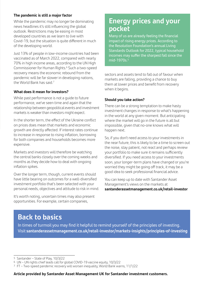#### **The pandemic is still a major factor**

While the pandemic may no longer be dominating news headlines it's still influencing the global outlook. Restrictions may be easing in most developed countries as we learn to live with Covid-19, but the situation is quite different in much of the developing world.

Just 13% of people in low-income countries had been vaccinated as of March 2022, compared with nearly 70% in high income areas, according to the UN High Commissioner for Human Rights.6 Such a two-speed recovery means the economic rebound from the pandemic will be far slower in developing nations, the World Bank has said.<sup>7</sup>

#### **What does it mean for investors?**

While past performance is not a quide to future performance, we've seen time and again that the relationship between geopolitical events and investment markets is weaker than investors might expect.

In the shorter term, the effect of the Ukraine conflict on prices does mean that markets and economic growth are directly affected. If interest rates continue to increase in response to rising inflation, borrowing for both companies and households becomes more expensive.

Markets and investors will therefore be watching the central banks closely over the coming weeks and months as they decide how to deal with ongoing inflation spikes.

Over the longer term, though, current events should have little bearing on outcomes for a well-diversified investment portfolio that's been selected with your personal needs, objectives and attitude to risk in mind.

It's worth noting, uncertain times may also present opportunities. For example, certain companies,

## **Energy prices and your pocket**

Many of us are already feeling the financial impact of rising energy prices. According to the Resolution Foundation's annual Living Standards Outlook for 2022, typical household incomes may suffer the sharpest fall since the mid-1970s.<sup>5</sup>

sectors and assets tend to fall out of favour when markets are falling, providing a chance to buy them at lower prices and benefit from recovery when it begins.

#### **Should you take action?**

There can be a strong temptation to make hasty investment changes in response to what's happening in the world at any given moment. But anticipating where the market will go in the future is all but impossible, given that no-one knows what will happen next.

So, if you don't need access to your investments in the near future, this is likely to be a time to screen out the noise, stay patient, not react and perhaps review your portfolio to make sure it remains sufficiently diversified. If you need access to your investments soon, your longer-term plans have changed or you're worried they might be going off track, it may be a good idea to seek professional financial advice.

You can keep up to date with Santander Asset Management's views on the markets at **[santanderassetmanagement.co.uk/retail-investor](http://santanderassetmanagement.co.uk/retail-investor)**

## **Back to basics**

In times of turmoil you may find it helpful to remind yourself of the principles of investing. Visit **santanderassetmanagement.co.uk/retail-investor/markets-insights/principles-of-investing**

<sup>5</sup> [Santander – State of Play,](https://www.santanderassetmanagement.co.uk/content/view/7626/file/sam-uk-state-of-play-10-march-2022.pdf) 10/3/22

<sup>6</sup> [UN – UN rights chief leads call for global COVID-19 vaccine equity,](https://news.un.org/en/story/2022/03/1113672) 10/3/22

<sup>7</sup> [FT – Two-speed pandemic recovery will worsen inequality, World Bank warns](https://www.ft.com/content/b859fbbc-5492-4d9e-9b22-bc1a4cf4dd10), 11/1/22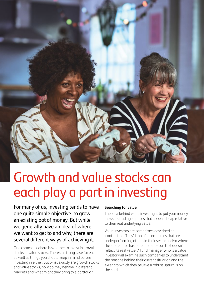

## Growth and value stocks can each play a part in investing

For many of us, investing tends to have one quite simple objective: to grow an existing pot of money. But while we generally have an idea of where we want to get to and why, there are several different ways of achieving it.

One common debate is whether to invest in growth stocks or value stocks. There's a strong case for each, as well as things you should keep in mind before investing in either. But what exactly are growth stocks and value stocks, how do they behave in different markets and what might they bring to a portfolio?

#### **Searching for value**

The idea behind value investing is to put your money in assets trading at prices that appear cheap relative to their real underlying value.

Value investors are sometimes described as 'contrarians'. They'll look for companies that are underperforming others in their sector and/or where the share price has fallen for a reason that doesn't reflect its real value. A fund manager who is a value investor will examine such companies to understand the reasons behind their current situation and the extent to which they believe a robust upturn is on the cards.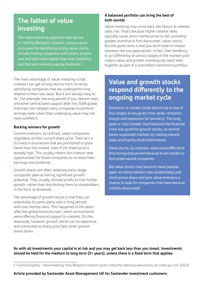### **The father of value investing**

The value investing approach was set out in 1949 by Benjamin Graham, whose seven principles for identifying strong value stocks include finding companies with assets at least one and half times higher than their liabilities, and that are currently paying dividends.<sup>8</sup>

The main advantage of value investing is that investors can get strong returns from correctly identifying companies that are underperforming relative to their real value. But it isn't always easy to do. For example, the long period of low interest rates and other central bank support after the 2008 global financial crisis helped many companies to perform strongly even when their underlying value may not have justified it.

#### **Backing winners for growth**

Growth investors, by contrast, select companies regardless of their current share price. Their aim is to invest in businesses that are positioned to grow faster than the market, even if the share price is already high. This usually means the investor sees opportunities for those companies to increase their earnings and dividends.

Growth stocks are often relatively early-stage companies seen as having significant growth potential. They usually reinvest profits to fuel further growth, rather than distributing them to shareholders in the form of dividends.

The advantage of growth stocks is that they can potentially do particularly well in long periods with low interest rates. This happened in the years after the global financial crash, when central banks were offering financial support to markets. On the downside, however, growth stocks can be expensive and vulnerable to sharp price falls when growth slows down.

#### **A balanced portfolio can bring the best of both worlds**

Value investing may come back into favour as interest rates rise. That's because higher interest rates typically cause stock market prices to fall, providing greater incentive to find discounted 'value' stocks. But the good news is that you don't have to choose between the two approaches. In fact, their tendency to act differently at various stages of the market cycle means value and growth investing can work well together as part of a diversified investment portfolio.

## **Value and growth stocks respond differently to the ongoing market cycle**

Economic or market cycles tend to be in one of four stages at any given time: peak, recession, trough and expansion (or recovery). The long peak or 'bull market' that followed the financial crisis was good for growth stocks, as central banks supported markets by cutting interest rates and buying stocks themselves.

Value stocks, by contrast, were more difficult to find during that period because it was harder to find undervalued companies.

But value stocks may become more popular again as rising interest rates (potentially) pull share prices down and give value investors a chance to look for companies that have become unfairly discounted.

**As with all investments your capital is at risk and you may get back less than you invest. Investments should be held for the medium to long term (5+ years), unless there is a fixed term that applies.**

**Article provided by Santander Asset Management UK for Santander investment customers.**

<sup>8</sup> [Financial Express – Value Investing: How Benjamin Graham's seven criteria for selecting value stocks can make you rich,](https://www.financialexpress.com/money/value-investing-how-benjamin-grahams-seven-criteria-for-selecting-value-stocks-can-make-you-rich/1887293/) 3/3/20